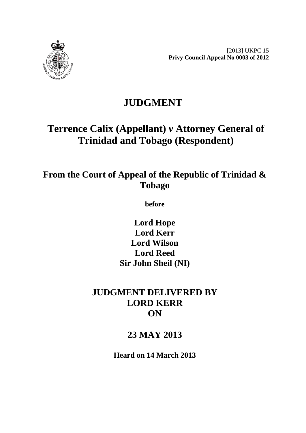

# **JUDGMENT**

# **Terrence Calix (Appellant)** *v* **Attorney General of Trinidad and Tobago (Respondent)**

# **From the Court of Appeal of the Republic of Trinidad & Tobago**

**before** 

**Lord Hope Lord Kerr Lord Wilson Lord Reed Sir John Sheil (NI)** 

# **JUDGMENT DELIVERED BY LORD KERR ON**

# **23 MAY 2013**

**Heard on 14 March 2013**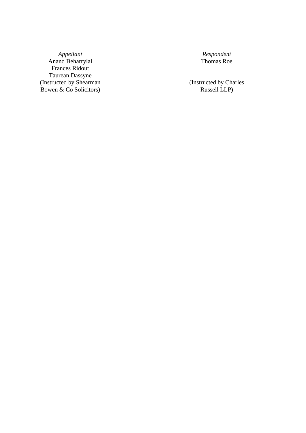*Appellant Respondent*  Anand Beharrylal Thomas Roe Frances Ridout Taurean Dassyne (Instructed by Shearman (Instructed by Charles Bowen & Co Solicitors) Russell LLP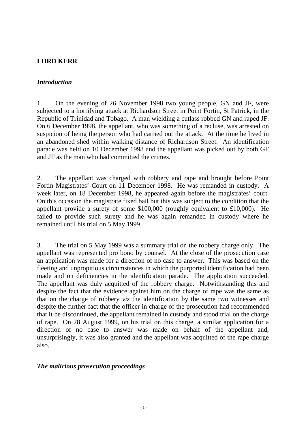### **LORD KERR**

#### *Introduction*

Republic of Trinidad and Tobago. A man wielding a cutlass robbed GN and raped JF. 1. On the evening of 26 November 1998 two young people, GN and JF, were subjected to a horrifying attack at Richardson Street in Point Fortin, St Patrick, in the On 6 December 1998, the appellant, who was something of a recluse, was arrested on suspicion of being the person who had carried out the attack. At the time he lived in an abandoned shed within walking distance of Richardson Street. An identification parade was held on 10 December 1998 and the appellant was picked out by both GF and JF as the man who had committed the crimes.

2. The appellant was charged with robbery and rape and brought before Point Fortin Magistrates' Court on 11 December 1998. He was remanded in custody. A week later, on 18 December 1998, he appeared again before the magistrates' court. On this occasion the magistrate fixed bail but this was subject to the condition that the appellant provide a surety of some \$100,000 (roughly equivalent to £10,000). He failed to provide such surety and he was again remanded in custody where he remained until his trial on 5 May 1999.

3. The trial on 5 May 1999 was a summary trial on the robbery charge only. The appellant was represented pro bono by counsel. At the close of the prosecution case an application was made for a direction of no case to answer. This was based on the fleeting and unpropitious circumstances in which the purported identification had been made and on deficiencies in the identification parade. The application succeeded. The appellant was duly acquitted of the robbery charge. Notwithstanding this and despite the fact that the evidence against him on the charge of rape was the same as that on the charge of robbery *viz* the identification by the same two witnesses and despite the further fact that the officer in charge of the prosecution had recommended that it be discontinued, the appellant remained in custody and stood trial on the charge of rape. On 28 August 1999, on his trial on this charge, a similar application for a direction of no case to answer was made on behalf of the appellant and, unsurprisingly, it was also granted and the appellant was acquitted of the rape charge also.

#### *The malicious prosecution proceedings*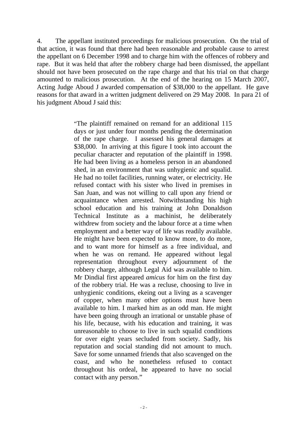4. The appellant instituted proceedings for malicious prosecution. On the trial of that action, it was found that there had been reasonable and probable cause to arrest the appellant on 6 December 1998 and to charge him with the offences of robbery and rape. But it was held that after the robbery charge had been dismissed, the appellant should not have been prosecuted on the rape charge and that his trial on that charge amounted to malicious prosecution. At the end of the hearing on 15 March 2007, Acting Judge Aboud J awarded compensation of \$38,000 to the appellant. He gave reasons for that award in a written judgment delivered on 29 May 2008. In para 21 of his judgment Aboud J said this:

> "The plaintiff remained on remand for an additional 115 days or just under four months pending the determination of the rape charge. I assessed his general damages at \$38,000. In arriving at this figure I took into account the peculiar character and reputation of the plaintiff in 1998. He had been living as a homeless person in an abandoned shed, in an environment that was unhygienic and squalid. He had no toilet facilities, running water, or electricity. He refused contact with his sister who lived in premises in San Juan, and was not willing to call upon any friend or acquaintance when arrested. Notwithstanding his high school education and his training at John Donaldson Technical Institute as a machinist, he deliberately withdrew from society and the labour force at a time when employment and a better way of life was readily available. He might have been expected to know more, to do more, and to want more for himself as a free individual, and when he was on remand. He appeared without legal representation throughout every adjournment of the robbery charge, although Legal Aid was available to him. Mr Dindial first appeared *amicus* for him on the first day of the robbery trial. He was a recluse, choosing to live in unhygienic conditions, ekeing out a living as a scavenger of copper, when many other options must have been available to him. I marked him as an odd man. He might have been going through an irrational or unstable phase of his life, because, with his education and training, it was unreasonable to choose to live in such squalid conditions for over eight years secluded from society. Sadly, his reputation and social standing did not amount to much. Save for some unnamed friends that also scavenged on the coast, and who he nonetheless refused to contact throughout his ordeal, he appeared to have no social contact with any person."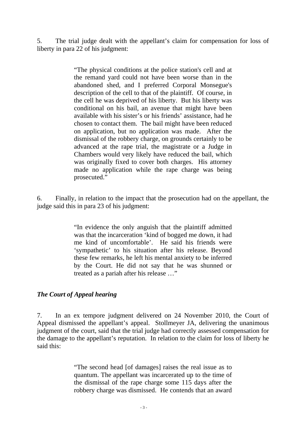5. The trial judge dealt with the appellant's claim for compensation for loss of liberty in para 22 of his judgment:

> "The physical conditions at the police station's cell and at the remand yard could not have been worse than in the abandoned shed, and I preferred Corporal Monsegue's description of the cell to that of the plaintiff. Of course, in the cell he was deprived of his liberty. But his liberty was conditional on his bail, an avenue that might have been available with his sister's or his friends' assistance, had he chosen to contact them. The bail might have been reduced on application, but no application was made. After the dismissal of the robbery charge, on grounds certainly to be advanced at the rape trial, the magistrate or a Judge in Chambers would very likely have reduced the bail, which was originally fixed to cover both charges. His attorney made no application while the rape charge was being prosecuted."

6. Finally, in relation to the impact that the prosecution had on the appellant, the judge said this in para 23 of his judgment:

> "In evidence the only anguish that the plaintiff admitted was that the incarceration 'kind of bogged me down, it had me kind of uncomfortable'. He said his friends were 'sympathetic' to his situation after his release. Beyond these few remarks, he left his mental anxiety to be inferred by the Court. He did not say that he was shunned or treated as a pariah after his release …"

## *The Court of Appeal hearing*

7. In an ex tempore judgment delivered on 24 November 2010, the Court of Appeal dismissed the appellant's appeal. Stollmeyer JA, delivering the unanimous judgment of the court, said that the trial judge had correctly assessed compensation for the damage to the appellant's reputation. In relation to the claim for loss of liberty he said this:

> "The second head [of damages] raises the real issue as to quantum. The appellant was incarcerated up to the time of the dismissal of the rape charge some 115 days after the robbery charge was dismissed. He contends that an award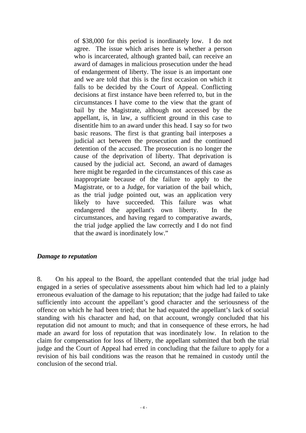of \$38,000 for this period is inordinately low. I do not agree. The issue which arises here is whether a person who is incarcerated, although granted bail, can receive an award of damages in malicious prosecution under the head of endangerment of liberty. The issue is an important one and we are told that this is the first occasion on which it falls to be decided by the Court of Appeal. Conflicting decisions at first instance have been referred to, but in the circumstances I have come to the view that the grant of bail by the Magistrate, although not accessed by the appellant, is, in law, a sufficient ground in this case to disentitle him to an award under this head. I say so for two basic reasons. The first is that granting bail interposes a judicial act between the prosecution and the continued detention of the accused. The prosecution is no longer the cause of the deprivation of liberty. That deprivation is caused by the judicial act. Second, an award of damages here might be regarded in the circumstances of this case as inappropriate because of the failure to apply to the Magistrate, or to a Judge, for variation of the bail which, as the trial judge pointed out, was an application very likely to have succeeded. This failure was what endangered the appellant's own liberty. In the circumstances, and having regard to comparative awards, the trial judge applied the law correctly and I do not find that the award is inordinately low."

#### *Damage to reputation*

8. On his appeal to the Board, the appellant contended that the trial judge had engaged in a series of speculative assessments about him which had led to a plainly erroneous evaluation of the damage to his reputation; that the judge had failed to take sufficiently into account the appellant's good character and the seriousness of the offence on which he had been tried; that he had equated the appellant's lack of social standing with his character and had, on that account, wrongly concluded that his reputation did not amount to much; and that in consequence of these errors, he had made an award for loss of reputation that was inordinately low. In relation to the claim for compensation for loss of liberty, the appellant submitted that both the trial judge and the Court of Appeal had erred in concluding that the failure to apply for a revision of his bail conditions was the reason that he remained in custody until the conclusion of the second trial.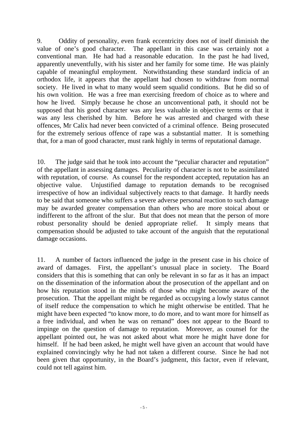9. Oddity of personality, even frank eccentricity does not of itself diminish the value of one's good character. The appellant in this case was certainly not a conventional man. He had had a reasonable education. In the past he had lived, apparently uneventfully, with his sister and her family for some time. He was plainly capable of meaningful employment. Notwithstanding these standard indicia of an orthodox life, it appears that the appellant had chosen to withdraw from normal society. He lived in what to many would seem squalid conditions. But he did so of his own volition. He was a free man exercising freedom of choice as to where and how he lived. Simply because he chose an unconventional path, it should not be supposed that his good character was any less valuable in objective terms or that it was any less cherished by him. Before he was arrested and charged with these offences, Mr Calix had never been convicted of a criminal offence. Being prosecuted for the extremely serious offence of rape was a substantial matter. It is something that, for a man of good character, must rank highly in terms of reputational damage.

10. The judge said that he took into account the "peculiar character and reputation" of the appellant in assessing damages. Peculiarity of character is not to be assimilated with reputation, of course. As counsel for the respondent accepted, reputation has an objective value. Unjustified damage to reputation demands to be recognised irrespective of how an individual subjectively reacts to that damage. It hardly needs to be said that someone who suffers a severe adverse personal reaction to such damage may be awarded greater compensation than others who are more stoical about or indifferent to the affront of the slur. But that does not mean that the person of more robust personality should be denied appropriate relief. It simply means that compensation should be adjusted to take account of the anguish that the reputational damage occasions.

11. A number of factors influenced the judge in the present case in his choice of award of damages. First, the appellant's unusual place in society. The Board considers that this is something that can only be relevant in so far as it has an impact on the dissemination of the information about the prosecution of the appellant and on how his reputation stood in the minds of those who might become aware of the prosecution. That the appellant might be regarded as occupying a lowly status cannot of itself reduce the compensation to which he might otherwise be entitled. That he might have been expected "to know more, to do more, and to want more for himself as a free individual, and when he was on remand" does not appear to the Board to impinge on the question of damage to reputation. Moreover, as counsel for the appellant pointed out, he was not asked about what more he might have done for himself. If he had been asked, he might well have given an account that would have explained convincingly why he had not taken a different course. Since he had not been given that opportunity, in the Board's judgment, this factor, even if relevant, could not tell against him.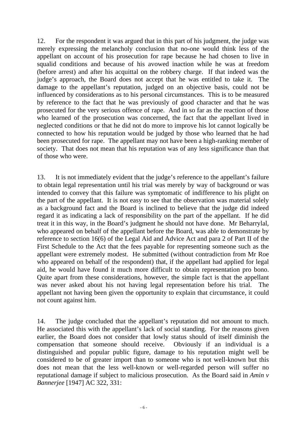12. For the respondent it was argued that in this part of his judgment, the judge was merely expressing the melancholy conclusion that no-one would think less of the appellant on account of his prosecution for rape because he had chosen to live in squalid conditions and because of his avowed inaction while he was at freedom (before arrest) and after his acquittal on the robbery charge. If that indeed was the judge's approach, the Board does not accept that he was entitled to take it. The damage to the appellant's reputation, judged on an objective basis, could not be influenced by considerations as to his personal circumstances. This is to be measured by reference to the fact that he was previously of good character and that he was prosecuted for the very serious offence of rape. And in so far as the reaction of those who learned of the prosecution was concerned, the fact that the appellant lived in neglected conditions or that he did not do more to improve his lot cannot logically be connected to how his reputation would be judged by those who learned that he had been prosecuted for rape. The appellant may not have been a high-ranking member of society. That does not mean that his reputation was of any less significance than that of those who were.

aid, he would have found it much more difficult to obtain representation pro bono. 13. It is not immediately evident that the judge's reference to the appellant's failure to obtain legal representation until his trial was merely by way of background or was intended to convey that this failure was symptomatic of indifference to his plight on the part of the appellant. It is not easy to see that the observation was material solely as a background fact and the Board is inclined to believe that the judge did indeed regard it as indicating a lack of responsibility on the part of the appellant. If he did treat it in this way, in the Board's judgment he should not have done. Mr Beharrylal, who appeared on behalf of the appellant before the Board, was able to demonstrate by reference to section 16(6) of the Legal Aid and Advice Act and para 2 of Part II of the First Schedule to the Act that the fees payable for representing someone such as the appellant were extremely modest. He submitted (without contradiction from Mr Roe who appeared on behalf of the respondent) that, if the appellant had applied for legal Quite apart from these considerations, however, the simple fact is that the appellant was never asked about his not having legal representation before his trial. The appellant not having been given the opportunity to explain that circumstance, it could not count against him.

14. The judge concluded that the appellant's reputation did not amount to much. He associated this with the appellant's lack of social standing. For the reasons given earlier, the Board does not consider that lowly status should of itself diminish the compensation that someone should receive. Obviously if an individual is a distinguished and popular public figure, damage to his reputation might well be considered to be of greater import than to someone who is not well-known but this does not mean that the less well-known or well-regarded person will suffer no reputational damage if subject to malicious prosecution. As the Board said in *Amin v Bannerjee* [1947] AC 322, 331: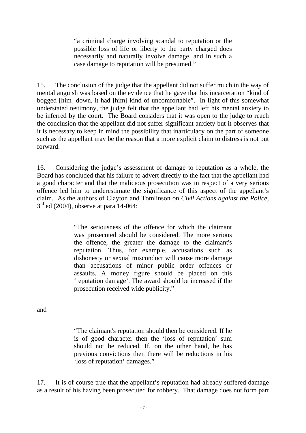"a criminal charge involving scandal to reputation or the possible loss of life or liberty to the party charged does necessarily and naturally involve damage, and in such a case damage to reputation will be presumed."

15. The conclusion of the judge that the appellant did not suffer much in the way of mental anguish was based on the evidence that he gave that his incarceration "kind of bogged [him] down, it had [him] kind of uncomfortable". In light of this somewhat understated testimony, the judge felt that the appellant had left his mental anxiety to be inferred by the court. The Board considers that it was open to the judge to reach the conclusion that the appellant did not suffer significant anxiety but it observes that it is necessary to keep in mind the possibility that inarticulacy on the part of someone such as the appellant may be the reason that a more explicit claim to distress is not put forward.

16. Considering the judge's assessment of damage to reputation as a whole, the Board has concluded that his failure to advert directly to the fact that the appellant had a good character and that the malicious prosecution was in respect of a very serious offence led him to underestimate the significance of this aspect of the appellant's claim. As the authors of Clayton and Tomlinson on *Civil Actions against the Police,*  3rd ed (2004)*,* observe at para 14-064:

> "The seriousness of the offence for which the claimant was prosecuted should be considered. The more serious the offence, the greater the damage to the claimant's reputation. Thus, for example, accusations such as dishonesty or sexual misconduct will cause more damage than accusations of minor public order offences or assaults. A money figure should be placed on this 'reputation damage'. The award should be increased if the prosecution received wide publicity."

and

"The claimant's reputation should then be considered. If he is of good character then the 'loss of reputation' sum should not be reduced. If, on the other hand, he has previous convictions then there will be reductions in his 'loss of reputation' damages."

17. It is of course true that the appellant's reputation had already suffered damage as a result of his having been prosecuted for robbery. That damage does not form part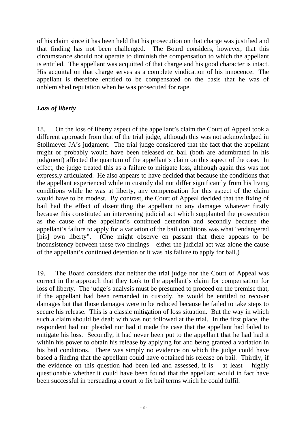of his claim since it has been held that his prosecution on that charge was justified and that finding has not been challenged. The Board considers, however, that this circumstance should not operate to diminish the compensation to which the appellant is entitled. The appellant was acquitted of that charge and his good character is intact. His acquittal on that charge serves as a complete vindication of his innocence. The appellant is therefore entitled to be compensated on the basis that he was of unblemished reputation when he was prosecuted for rape.

# *Loss of liberty*

18. On the loss of liberty aspect of the appellant's claim the Court of Appeal took a different approach from that of the trial judge, although this was not acknowledged in Stollmeyer JA's judgment. The trial judge considered that the fact that the appellant might or probably would have been released on bail (both are adumbrated in his judgment) affected the quantum of the appellant's claim on this aspect of the case. In effect, the judge treated this as a failure to mitigate loss, although again this was not expressly articulated. He also appears to have decided that because the conditions that the appellant experienced while in custody did not differ significantly from his living conditions while he was at liberty, any compensation for this aspect of the claim would have to be modest. By contrast, the Court of Appeal decided that the fixing of bail had the effect of disentitling the appellant to any damages whatever firstly because this constituted an intervening judicial act which supplanted the prosecution as the cause of the appellant's continued detention and secondly because the appellant's failure to apply for a variation of the bail conditions was what "endangered [his] own liberty". (One might observe en passant that there appears to be inconsistency between these two findings – either the judicial act was alone the cause of the appellant's continued detention or it was his failure to apply for bail.)

19. The Board considers that neither the trial judge nor the Court of Appeal was correct in the approach that they took to the appellant's claim for compensation for loss of liberty. The judge's analysis must be presumed to proceed on the premise that, if the appellant had been remanded in custody, he would be entitled to recover damages but that those damages were to be reduced because he failed to take steps to secure his release. This is a classic mitigation of loss situation. But the way in which such a claim should be dealt with was not followed at the trial. In the first place, the respondent had not pleaded nor had it made the case that the appellant had failed to mitigate his loss. Secondly, it had never been put to the appellant that he had had it within his power to obtain his release by applying for and being granted a variation in his bail conditions. There was simply no evidence on which the judge could have based a finding that the appellant could have obtained his release on bail. Thirdly, if the evidence on this question had been led and assessed, it is  $-$  at least  $-$  highly questionable whether it could have been found that the appellant would in fact have been successful in persuading a court to fix bail terms which he could fulfil.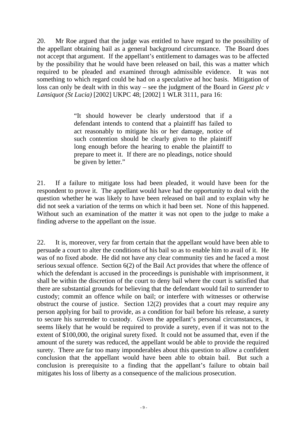20. Mr Roe argued that the judge was entitled to have regard to the possibility of the appellant obtaining bail as a general background circumstance. The Board does not accept that argument. If the appellant's entitlement to damages was to be affected by the possibility that he would have been released on bail, this was a matter which required to be pleaded and examined through admissible evidence. It was not something to which regard could be had on a speculative ad hoc basis. Mitigation of loss can only be dealt with in this way – see the judgment of the Board in *Geest plc v Lansiquot (St Lucia)* [2002] UKPC 48; [2002] 1 WLR 3111, para 16:

> "It should however be clearly understood that if a defendant intends to contend that a plaintiff has failed to act reasonably to mitigate his or her damage, notice of such contention should be clearly given to the plaintiff long enough before the hearing to enable the plaintiff to prepare to meet it. If there are no pleadings, notice should be given by letter."

did not seek a variation of the terms on which it had been set. None of this happened. 21. If a failure to mitigate loss had been pleaded, it would have been for the respondent to prove it. The appellant would have had the opportunity to deal with the question whether he was likely to have been released on bail and to explain why he Without such an examination of the matter it was not open to the judge to make a finding adverse to the appellant on the issue.

22. It is, moreover, very far from certain that the appellant would have been able to persuade a court to alter the conditions of his bail so as to enable him to avail of it. He was of no fixed abode. He did not have any clear community ties and he faced a most serious sexual offence. Section 6(2) of the Bail Act provides that where the offence of which the defendant is accused in the proceedings is punishable with imprisonment, it shall be within the discretion of the court to deny bail where the court is satisfied that there are substantial grounds for believing that the defendant would fail to surrender to custody; commit an offence while on bail; or interfere with witnesses or otherwise obstruct the course of justice. Section 12(2) provides that a court may require any person applying for bail to provide, as a condition for bail before his release, a surety to secure his surrender to custody. Given the appellant's personal circumstances, it seems likely that he would be required to provide a surety, even if it was not to the extent of \$100,000, the original surety fixed. It could not be assumed that, even if the amount of the surety was reduced, the appellant would be able to provide the required surety. There are far too many imponderables about this question to allow a confident conclusion that the appellant would have been able to obtain bail. But such a conclusion is prerequisite to a finding that the appellant's failure to obtain bail mitigates his loss of liberty as a consequence of the malicious prosecution.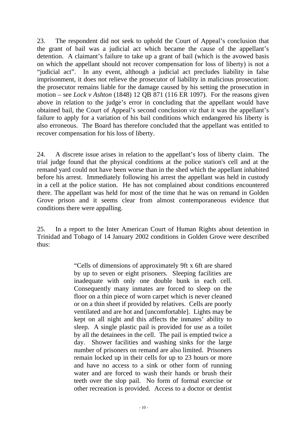23. The respondent did not seek to uphold the Court of Appeal's conclusion that the grant of bail was a judicial act which became the cause of the appellant's detention. A claimant's failure to take up a grant of bail (which is the avowed basis on which the appellant should not recover compensation for loss of liberty) is not a "judicial act". In any event, although a judicial act precludes liability in false imprisonment, it does not relieve the prosecutor of liability in malicious prosecution: the prosecutor remains liable for the damage caused by his setting the prosecution in motion – see *Lock v Ashton* (1848) 12 QB 871 (116 ER 1097). For the reasons given above in relation to the judge's error in concluding that the appellant would have obtained bail, the Court of Appeal's second conclusion *viz* that it was the appellant's failure to apply for a variation of his bail conditions which endangered his liberty is also erroneous. The Board has therefore concluded that the appellant was entitled to recover compensation for his loss of liberty.

24. A discrete issue arises in relation to the appellant's loss of liberty claim. The trial judge found that the physical conditions at the police station's cell and at the remand yard could not have been worse than in the shed which the appellant inhabited before his arrest. Immediately following his arrest the appellant was held in custody in a cell at the police station. He has not complained about conditions encountered there. The appellant was held for most of the time that he was on remand in Golden Grove prison and it seems clear from almost contemporaneous evidence that conditions there were appalling.

25. In a report to the Inter American Court of Human Rights about detention in Trinidad and Tobago of 14 January 2002 conditions in Golden Grove were described thus:

> inadequate with only one double bunk in each cell. "Cells of dimensions of approximately 9ft x 6ft are shared by up to seven or eight prisoners. Sleeping facilities are Consequently many inmates are forced to sleep on the floor on a thin piece of worn carpet which is never cleaned or on a thin sheet if provided by relatives. Cells are poorly ventilated and are hot and [uncomfortable]. Lights may be kept on all night and this affects the inmates' ability to sleep. A single plastic pail is provided for use as a toilet by all the detainees in the cell. The pail is emptied twice a day. Shower facilities and washing sinks for the large number of prisoners on remand are also limited. Prisoners remain locked up in their cells for up to 23 hours or more and have no access to a sink or other form of running water and are forced to wash their hands or brush their teeth over the slop pail. No form of formal exercise or other recreation is provided. Access to a doctor or dentist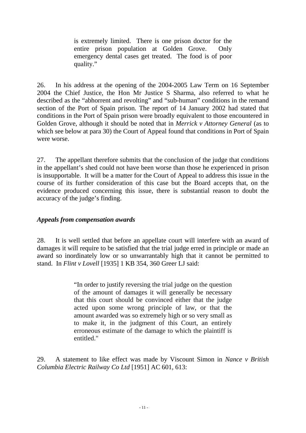is extremely limited. There is one prison doctor for the entire prison population at Golden Grove. Only emergency dental cases get treated. The food is of poor quality."

26. In his address at the opening of the 2004-2005 Law Term on 16 September 2004 the Chief Justice, the Hon Mr Justice S Sharma, also referred to what he described as the "abhorrent and revolting" and "sub-human" conditions in the remand section of the Port of Spain prison. The report of 14 January 2002 had stated that conditions in the Port of Spain prison were broadly equivalent to those encountered in Golden Grove, although it should be noted that in *Merrick v Attorney General* (as to which see below at para 30) the Court of Appeal found that conditions in Port of Spain were worse.

27. The appellant therefore submits that the conclusion of the judge that conditions in the appellant's shed could not have been worse than those he experienced in prison is insupportable. It will be a matter for the Court of Appeal to address this issue in the course of its further consideration of this case but the Board accepts that, on the evidence produced concerning this issue, there is substantial reason to doubt the accuracy of the judge's finding.

## *Appeals from compensation awards*

28. It is well settled that before an appellate court will interfere with an award of damages it will require to be satisfied that the trial judge erred in principle or made an award so inordinately low or so unwarrantably high that it cannot be permitted to stand. In *Flint v Lovell* [1935] 1 KB 354, 360 Greer LJ said:

> "In order to justify reversing the trial judge on the question of the amount of damages it will generally be necessary that this court should be convinced either that the judge acted upon some wrong principle of law, or that the amount awarded was so extremely high or so very small as to make it, in the judgment of this Court, an entirely erroneous estimate of the damage to which the plaintiff is entitled."

 *Columbia Electric Railway Co Ltd* [1951] AC 601, 613: - 11 - 29. A statement to like effect was made by Viscount Simon in *Nance v British*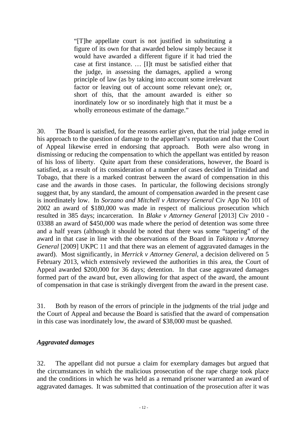"[T]he appellate court is not justified in substituting a figure of its own for that awarded below simply because it would have awarded a different figure if it had tried the case at first instance. … [I]t must be satisfied either that the judge, in assessing the damages, applied a wrong principle of law (as by taking into account some irrelevant factor or leaving out of account some relevant one); or, short of this, that the amount awarded is either so inordinately low or so inordinately high that it must be a wholly erroneous estimate of the damage."

30. The Board is satisfied, for the reasons earlier given, that the trial judge erred in his approach to the question of damage to the appellant's reputation and that the Court of Appeal likewise erred in endorsing that approach. Both were also wrong in dismissing or reducing the compensation to which the appellant was entitled by reason of his loss of liberty. Quite apart from these considerations, however, the Board is satisfied, as a result of its consideration of a number of cases decided in Trinidad and Tobago, that there is a marked contrast between the award of compensation in this case and the awards in those cases. In particular, the following decisions strongly suggest that, by any standard, the amount of compensation awarded in the present case is inordinately low. In *Sorzano and Mitchell v Attorney General* Civ App No 101 of 2002 an award of \$180,000 was made in respect of malicious prosecution which resulted in 385 days; incarceration. In *Blake v Attorney General* [2013] Civ 2010 - 03388 an award of \$450,000 was made where the period of detention was some three and a half years (although it should be noted that there was some "tapering" of the award in that case in line with the observations of the Board in *Takitota v Attorney General* [2009] UKPC 11 and that there was an element of aggravated damages in the award). Most significantly, in *Merrick v Attorney General*, a decision delivered on 5 February 2013, which extensively reviewed the authorities in this area, the Court of Appeal awarded \$200,000 for 36 days; detention. In that case aggravated damages formed part of the award but, even allowing for that aspect of the award, the amount of compensation in that case is strikingly divergent from the award in the present case.

31. Both by reason of the errors of principle in the judgments of the trial judge and the Court of Appeal and because the Board is satisfied that the award of compensation in this case was inordinately low, the award of \$38,000 must be quashed.

## *Aggravated damages*

32. The appellant did not pursue a claim for exemplary damages but argued that the circumstances in which the malicious prosecution of the rape charge took place and the conditions in which he was held as a remand prisoner warranted an award of aggravated damages. It was submitted that continuation of the prosecution after it was